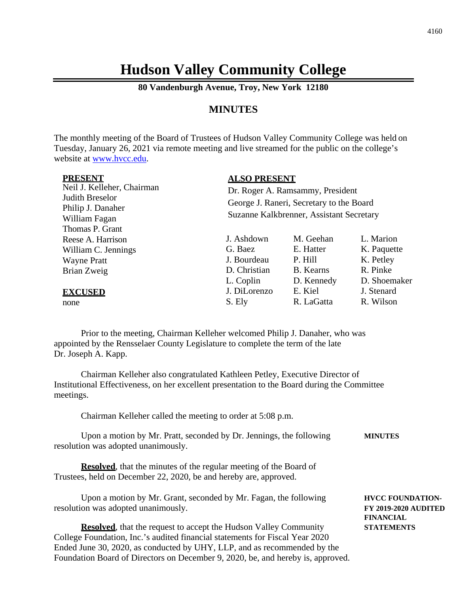## **Hudson Valley Community College**

**80 Vandenburgh Avenue, Troy, New York 12180**

## **MINUTES**

The monthly meeting of the Board of Trustees of Hudson Valley Community College was held on Tuesday, January 26, 2021 via remote meeting and live streamed for the public on the college's website at [www.hvcc.edu.](http://www.hvcc.edu/)

| <b>PRESENT</b>                                                                                         | <b>ALSO PRESENT</b>                                                                                                      |                                                              |                                                                   |  |
|--------------------------------------------------------------------------------------------------------|--------------------------------------------------------------------------------------------------------------------------|--------------------------------------------------------------|-------------------------------------------------------------------|--|
| Neil J. Kelleher, Chairman<br>Judith Breselor<br>Philip J. Danaher<br>William Fagan<br>Thomas P. Grant | Dr. Roger A. Ramsammy, President<br>George J. Raneri, Secretary to the Board<br>Suzanne Kalkbrenner, Assistant Secretary |                                                              |                                                                   |  |
| Reese A. Harrison<br>William C. Jennings<br><b>Wayne Pratt</b><br>Brian Zweig                          | J. Ashdown<br>G. Baez<br>J. Bourdeau<br>D. Christian<br>L. Coplin                                                        | M. Geehan<br>E. Hatter<br>P. Hill<br>B. Kearns<br>D. Kennedy | L. Marion<br>K. Paquette<br>K. Petley<br>R. Pinke<br>D. Shoemaker |  |
| <b>EXCUSED</b><br>none                                                                                 | J. DiLorenzo<br>S. Ely                                                                                                   | E. Kiel<br>R. LaGatta                                        | J. Stenard<br>R. Wilson                                           |  |

Prior to the meeting, Chairman Kelleher welcomed Philip J. Danaher, who was appointed by the Rensselaer County Legislature to complete the term of the late Dr. Joseph A. Kapp.

Chairman Kelleher also congratulated Kathleen Petley, Executive Director of Institutional Effectiveness, on her excellent presentation to the Board during the Committee meetings.

Chairman Kelleher called the meeting to order at 5:08 p.m.

| Upon a motion by Mr. Pratt, seconded by Dr. Jennings, the following | <b>MINUTES</b> |
|---------------------------------------------------------------------|----------------|
| resolution was adopted unanimously.                                 |                |

**Resolved**, that the minutes of the regular meeting of the Board of Trustees, held on December 22, 2020, be and hereby are, approved.

Upon a motion by Mr. Grant, seconded by Mr. Fagan, the following **HVCC FOUNDATION** resolution was adopted unanimously. **FY 2019-2020 AUDITED**

**Resolved**, that the request to accept the Hudson Valley Community **STATEMENTS** College Foundation, Inc.'s audited financial statements for Fiscal Year 2020 Ended June 30, 2020, as conducted by UHY, LLP, and as recommended by the Foundation Board of Directors on December 9, 2020, be, and hereby is, approved.

**FINANCIAL**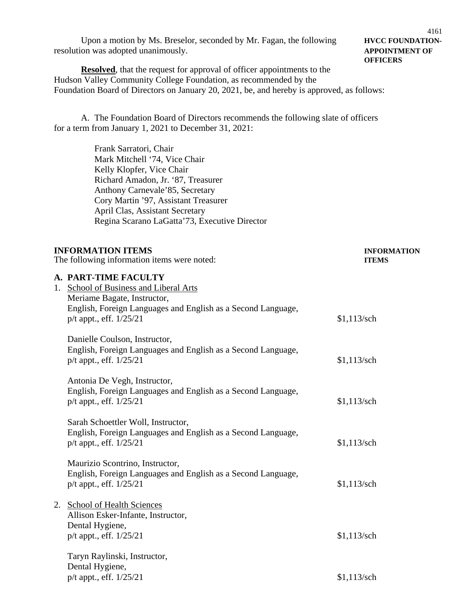Upon a motion by Ms. Breselor, seconded by Mr. Fagan, the following **HVCC FOUNDATION**resolution was adopted unanimously. **APPOINTMENT OF**

## 4161 **OFFICERS**

**Resolved**, that the request for approval of officer appointments to the Hudson Valley Community College Foundation, as recommended by the Foundation Board of Directors on January 20, 2021, be, and hereby is approved, as follows:

A. The Foundation Board of Directors recommends the following slate of officers for a term from January 1, 2021 to December 31, 2021:

> Frank Sarratori, Chair Mark Mitchell '74, Vice Chair Kelly Klopfer, Vice Chair Richard Amadon, Jr. '87, Treasurer Anthony Carnevale'85, Secretary Cory Martin '97, Assistant Treasurer April Clas, Assistant Secretary Regina Scarano LaGatta'73, Executive Director

| <b>INFORMATION ITEMS</b><br>The following information items were noted: |                                                                                            | <b>INFORMATION</b><br><b>ITEMS</b> |
|-------------------------------------------------------------------------|--------------------------------------------------------------------------------------------|------------------------------------|
|                                                                         |                                                                                            |                                    |
|                                                                         | A. PART-TIME FACULTY                                                                       |                                    |
| 1.                                                                      | School of Business and Liberal Arts                                                        |                                    |
|                                                                         | Meriame Bagate, Instructor,                                                                |                                    |
|                                                                         | English, Foreign Languages and English as a Second Language,                               |                                    |
|                                                                         | $p/t$ appt., eff. $1/25/21$                                                                | $$1,113$ /sch                      |
|                                                                         | $\mathbf{D}$ $\mathbf{H}$ $\mathbf{A}$ $\mathbf{H}$ $\mathbf{H}$ $\mathbf{H}$ $\mathbf{H}$ |                                    |

Danielle Coulson, Instructor, English, Foreign Languages and English as a Second Language, p/t appt., eff. 1/25/21 \$1,113/sch

Antonia De Vegh, Instructor, English, Foreign Languages and English as a Second Language, p/t appt., eff. 1/25/21 \$1,113/sch

Sarah Schoettler Woll, Instructor, English, Foreign Languages and English as a Second Language,  $p/t$  appt., eff.  $1/25/21$  \$1,113/sch

Maurizio Scontrino, Instructor, English, Foreign Languages and English as a Second Language, p/t appt., eff. 1/25/21 \$1,113/sch

2. School of Health Sciences Allison Esker-Infante, Instructor, Dental Hygiene, p/t appt., eff. 1/25/21 \$1,113/sch

Taryn Raylinski, Instructor, Dental Hygiene, p/t appt., eff. 1/25/21 \$1,113/sch